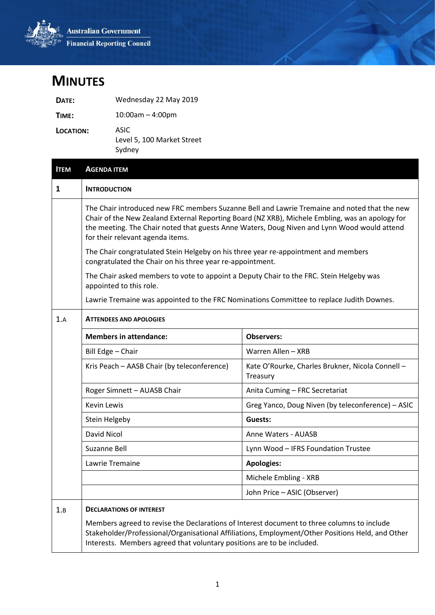

## **MINUTES**

| DATE:     | Wednesday 22 May 2019                        |
|-----------|----------------------------------------------|
| TIME:     | $10:00$ am – 4:00pm                          |
| LOCATION: | ASIC<br>Level 5, 100 Market Street<br>Sydney |

| <b>ITEM</b> | <b>AGENDA ITEM</b>                                                                                                                              |                                                                                                                                                                                                                                                                                                |  |
|-------------|-------------------------------------------------------------------------------------------------------------------------------------------------|------------------------------------------------------------------------------------------------------------------------------------------------------------------------------------------------------------------------------------------------------------------------------------------------|--|
| 1           | <b>INTRODUCTION</b>                                                                                                                             |                                                                                                                                                                                                                                                                                                |  |
|             | for their relevant agenda items.                                                                                                                | The Chair introduced new FRC members Suzanne Bell and Lawrie Tremaine and noted that the new<br>Chair of the New Zealand External Reporting Board (NZ XRB), Michele Embling, was an apology for<br>the meeting. The Chair noted that guests Anne Waters, Doug Niven and Lynn Wood would attend |  |
|             | The Chair congratulated Stein Helgeby on his three year re-appointment and members<br>congratulated the Chair on his three year re-appointment. |                                                                                                                                                                                                                                                                                                |  |
|             | The Chair asked members to vote to appoint a Deputy Chair to the FRC. Stein Helgeby was<br>appointed to this role.                              |                                                                                                                                                                                                                                                                                                |  |
|             | Lawrie Tremaine was appointed to the FRC Nominations Committee to replace Judith Downes.                                                        |                                                                                                                                                                                                                                                                                                |  |
| 1.A         | <b>ATTENDEES AND APOLOGIES</b>                                                                                                                  |                                                                                                                                                                                                                                                                                                |  |
|             | <b>Members in attendance:</b>                                                                                                                   | <b>Observers:</b>                                                                                                                                                                                                                                                                              |  |
|             | Bill Edge - Chair                                                                                                                               | Warren Allen - XRB                                                                                                                                                                                                                                                                             |  |
|             | Kris Peach - AASB Chair (by teleconference)                                                                                                     | Kate O'Rourke, Charles Brukner, Nicola Connell -<br>Treasury                                                                                                                                                                                                                                   |  |
|             | Roger Simnett - AUASB Chair                                                                                                                     | Anita Cuming - FRC Secretariat                                                                                                                                                                                                                                                                 |  |
|             | <b>Kevin Lewis</b>                                                                                                                              | Greg Yanco, Doug Niven (by teleconference) - ASIC                                                                                                                                                                                                                                              |  |
|             | Stein Helgeby                                                                                                                                   | Guests:                                                                                                                                                                                                                                                                                        |  |
|             | David Nicol                                                                                                                                     | Anne Waters - AUASB                                                                                                                                                                                                                                                                            |  |
|             | Suzanne Bell                                                                                                                                    | Lynn Wood - IFRS Foundation Trustee                                                                                                                                                                                                                                                            |  |
|             | Lawrie Tremaine                                                                                                                                 | <b>Apologies:</b>                                                                                                                                                                                                                                                                              |  |
|             |                                                                                                                                                 | Michele Embling - XRB                                                                                                                                                                                                                                                                          |  |
|             |                                                                                                                                                 | John Price - ASIC (Observer)                                                                                                                                                                                                                                                                   |  |
| 1.B         | <b>DECLARATIONS OF INTEREST</b>                                                                                                                 |                                                                                                                                                                                                                                                                                                |  |
|             | Members agreed to revise the Declarations of Interest document to three columns to include                                                      | Stakeholder/Professional/Organisational Affiliations, Employment/Other Positions Held, and Other                                                                                                                                                                                               |  |

Interests. Members agreed that voluntary positions are to be included.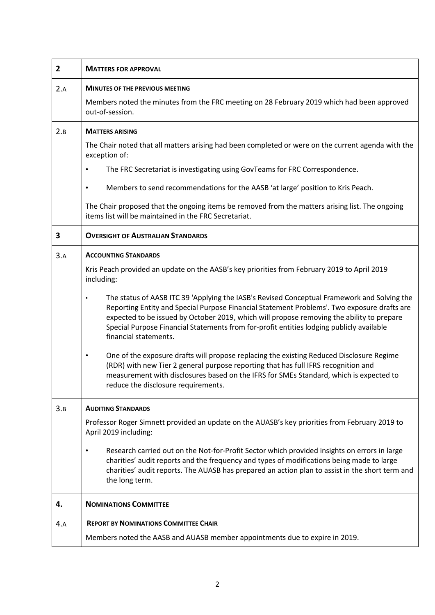| $\overline{2}$ | <b>MATTERS FOR APPROVAL</b>                                                                                                                                                                                                                                                                                                                                                                                  |
|----------------|--------------------------------------------------------------------------------------------------------------------------------------------------------------------------------------------------------------------------------------------------------------------------------------------------------------------------------------------------------------------------------------------------------------|
| 2.A            | <b>MINUTES OF THE PREVIOUS MEETING</b>                                                                                                                                                                                                                                                                                                                                                                       |
|                | Members noted the minutes from the FRC meeting on 28 February 2019 which had been approved<br>out-of-session.                                                                                                                                                                                                                                                                                                |
| 2.B            | <b>MATTERS ARISING</b>                                                                                                                                                                                                                                                                                                                                                                                       |
|                | The Chair noted that all matters arising had been completed or were on the current agenda with the<br>exception of:                                                                                                                                                                                                                                                                                          |
|                | The FRC Secretariat is investigating using GovTeams for FRC Correspondence.<br>٠                                                                                                                                                                                                                                                                                                                             |
|                | Members to send recommendations for the AASB 'at large' position to Kris Peach.                                                                                                                                                                                                                                                                                                                              |
|                | The Chair proposed that the ongoing items be removed from the matters arising list. The ongoing<br>items list will be maintained in the FRC Secretariat.                                                                                                                                                                                                                                                     |
| 3              | <b>OVERSIGHT OF AUSTRALIAN STANDARDS</b>                                                                                                                                                                                                                                                                                                                                                                     |
| 3.A            | <b>ACCOUNTING STANDARDS</b>                                                                                                                                                                                                                                                                                                                                                                                  |
|                | Kris Peach provided an update on the AASB's key priorities from February 2019 to April 2019<br>including:                                                                                                                                                                                                                                                                                                    |
|                | The status of AASB ITC 39 'Applying the IASB's Revised Conceptual Framework and Solving the<br>Reporting Entity and Special Purpose Financial Statement Problems'. Two exposure drafts are<br>expected to be issued by October 2019, which will propose removing the ability to prepare<br>Special Purpose Financial Statements from for-profit entities lodging publicly available<br>financial statements. |
|                | One of the exposure drafts will propose replacing the existing Reduced Disclosure Regime<br>$\bullet$<br>(RDR) with new Tier 2 general purpose reporting that has full IFRS recognition and<br>measurement with disclosures based on the IFRS for SMEs Standard, which is expected to<br>reduce the disclosure requirements.                                                                                 |
| 3.B            | <b>AUDITING STANDARDS</b>                                                                                                                                                                                                                                                                                                                                                                                    |
|                | Professor Roger Simnett provided an update on the AUASB's key priorities from February 2019 to<br>April 2019 including:                                                                                                                                                                                                                                                                                      |
|                | Research carried out on the Not-for-Profit Sector which provided insights on errors in large<br>charities' audit reports and the frequency and types of modifications being made to large<br>charities' audit reports. The AUASB has prepared an action plan to assist in the short term and<br>the long term.                                                                                               |
| 4.             | <b>NOMINATIONS COMMITTEE</b>                                                                                                                                                                                                                                                                                                                                                                                 |
| 4.A            | <b>REPORT BY NOMINATIONS COMMITTEE CHAIR</b>                                                                                                                                                                                                                                                                                                                                                                 |
|                | Members noted the AASB and AUASB member appointments due to expire in 2019.                                                                                                                                                                                                                                                                                                                                  |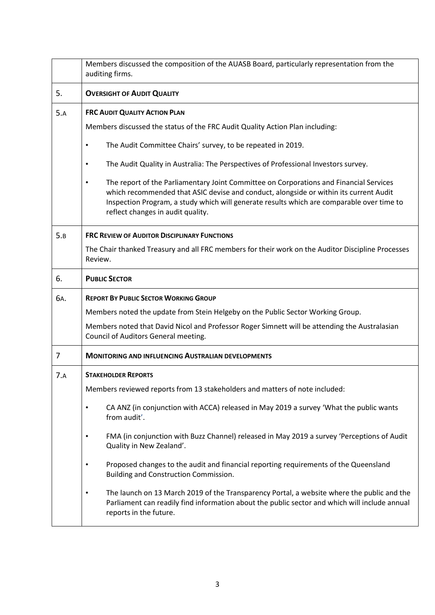|     | Members discussed the composition of the AUASB Board, particularly representation from the<br>auditing firms.                                                                                                                                                                                                                  |
|-----|--------------------------------------------------------------------------------------------------------------------------------------------------------------------------------------------------------------------------------------------------------------------------------------------------------------------------------|
| 5.  | <b>OVERSIGHT OF AUDIT QUALITY</b>                                                                                                                                                                                                                                                                                              |
| 5.A | <b>FRC AUDIT QUALITY ACTION PLAN</b>                                                                                                                                                                                                                                                                                           |
|     | Members discussed the status of the FRC Audit Quality Action Plan including:                                                                                                                                                                                                                                                   |
|     | The Audit Committee Chairs' survey, to be repeated in 2019.<br>٠                                                                                                                                                                                                                                                               |
|     | The Audit Quality in Australia: The Perspectives of Professional Investors survey.                                                                                                                                                                                                                                             |
|     | The report of the Parliamentary Joint Committee on Corporations and Financial Services<br>$\bullet$<br>which recommended that ASIC devise and conduct, alongside or within its current Audit<br>Inspection Program, a study which will generate results which are comparable over time to<br>reflect changes in audit quality. |
| 5.B | <b>FRC REVIEW OF AUDITOR DISCIPLINARY FUNCTIONS</b>                                                                                                                                                                                                                                                                            |
|     | The Chair thanked Treasury and all FRC members for their work on the Auditor Discipline Processes<br>Review.                                                                                                                                                                                                                   |
| 6.  | <b>PUBLIC SECTOR</b>                                                                                                                                                                                                                                                                                                           |
| 6A. | <b>REPORT BY PUBLIC SECTOR WORKING GROUP</b>                                                                                                                                                                                                                                                                                   |
|     | Members noted the update from Stein Helgeby on the Public Sector Working Group.                                                                                                                                                                                                                                                |
|     | Members noted that David Nicol and Professor Roger Simnett will be attending the Australasian<br>Council of Auditors General meeting.                                                                                                                                                                                          |
| 7   | <b>MONITORING AND INFLUENCING AUSTRALIAN DEVELOPMENTS</b>                                                                                                                                                                                                                                                                      |
| 7.A | <b>STAKEHOLDER REPORTS</b>                                                                                                                                                                                                                                                                                                     |
|     | Members reviewed reports from 13 stakeholders and matters of note included:                                                                                                                                                                                                                                                    |
|     | CA ANZ (in conjunction with ACCA) released in May 2019 a survey 'What the public wants<br>$\bullet$<br>from audit'.                                                                                                                                                                                                            |
|     | FMA (in conjunction with Buzz Channel) released in May 2019 a survey 'Perceptions of Audit<br>$\bullet$<br>Quality in New Zealand'.                                                                                                                                                                                            |
|     | Proposed changes to the audit and financial reporting requirements of the Queensland<br>$\bullet$<br>Building and Construction Commission.                                                                                                                                                                                     |
|     | The launch on 13 March 2019 of the Transparency Portal, a website where the public and the<br>Parliament can readily find information about the public sector and which will include annual<br>reports in the future.                                                                                                          |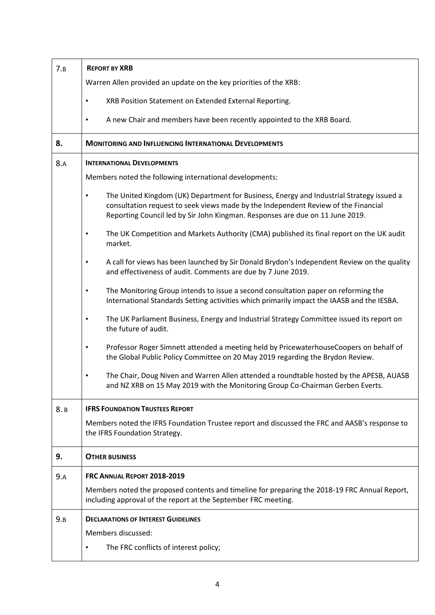| 7.B  | <b>REPORT BY XRB</b>                                                                                                                                                                                                                                            |  |
|------|-----------------------------------------------------------------------------------------------------------------------------------------------------------------------------------------------------------------------------------------------------------------|--|
|      | Warren Allen provided an update on the key priorities of the XRB:                                                                                                                                                                                               |  |
|      | XRB Position Statement on Extended External Reporting.                                                                                                                                                                                                          |  |
|      | A new Chair and members have been recently appointed to the XRB Board.<br>$\bullet$                                                                                                                                                                             |  |
| 8.   | <b>MONITORING AND INFLUENCING INTERNATIONAL DEVELOPMENTS</b>                                                                                                                                                                                                    |  |
| 8.A  | <b>INTERNATIONAL DEVELOPMENTS</b>                                                                                                                                                                                                                               |  |
|      | Members noted the following international developments:                                                                                                                                                                                                         |  |
|      | The United Kingdom (UK) Department for Business, Energy and Industrial Strategy issued a<br>consultation request to seek views made by the Independent Review of the Financial<br>Reporting Council led by Sir John Kingman. Responses are due on 11 June 2019. |  |
|      | The UK Competition and Markets Authority (CMA) published its final report on the UK audit<br>$\bullet$<br>market.                                                                                                                                               |  |
|      | A call for views has been launched by Sir Donald Brydon's Independent Review on the quality<br>٠<br>and effectiveness of audit. Comments are due by 7 June 2019.                                                                                                |  |
|      | The Monitoring Group intends to issue a second consultation paper on reforming the<br>$\bullet$<br>International Standards Setting activities which primarily impact the IAASB and the IESBA.                                                                   |  |
|      | The UK Parliament Business, Energy and Industrial Strategy Committee issued its report on<br>$\bullet$<br>the future of audit.                                                                                                                                  |  |
|      | Professor Roger Simnett attended a meeting held by PricewaterhouseCoopers on behalf of<br>$\bullet$<br>the Global Public Policy Committee on 20 May 2019 regarding the Brydon Review.                                                                           |  |
|      | The Chair, Doug Niven and Warren Allen attended a roundtable hosted by the APESB, AUASB<br>and NZ XRB on 15 May 2019 with the Monitoring Group Co-Chairman Gerben Everts.                                                                                       |  |
| 8. B | <b>IFRS FOUNDATION TRUSTEES REPORT</b>                                                                                                                                                                                                                          |  |
|      | Members noted the IFRS Foundation Trustee report and discussed the FRC and AASB's response to<br>the IFRS Foundation Strategy.                                                                                                                                  |  |
| 9.   | <b>OTHER BUSINESS</b>                                                                                                                                                                                                                                           |  |
| 9.A  | FRC ANNUAL REPORT 2018-2019                                                                                                                                                                                                                                     |  |
|      | Members noted the proposed contents and timeline for preparing the 2018-19 FRC Annual Report,<br>including approval of the report at the September FRC meeting.                                                                                                 |  |
| 9.B  | <b>DECLARATIONS OF INTEREST GUIDELINES</b>                                                                                                                                                                                                                      |  |
|      | Members discussed:                                                                                                                                                                                                                                              |  |
|      | The FRC conflicts of interest policy;                                                                                                                                                                                                                           |  |